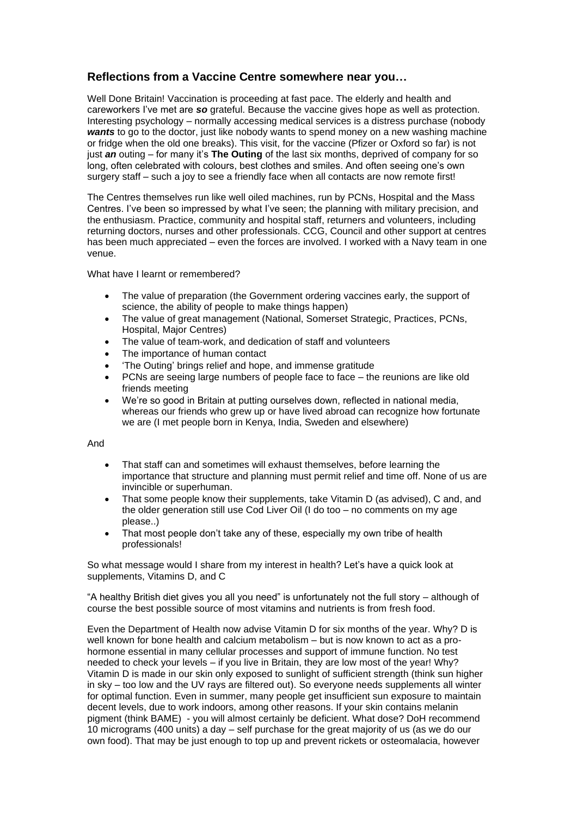## **Reflections from a Vaccine Centre somewhere near you…**

Well Done Britain! Vaccination is proceeding at fast pace. The elderly and health and careworkers I've met are *so* grateful. Because the vaccine gives hope as well as protection. Interesting psychology – normally accessing medical services is a distress purchase (nobody *wants* to go to the doctor, just like nobody wants to spend money on a new washing machine or fridge when the old one breaks). This visit, for the vaccine (Pfizer or Oxford so far) is not just *an* outing – for many it's **The Outing** of the last six months, deprived of company for so long, often celebrated with colours, best clothes and smiles. And often seeing one's own surgery staff – such a joy to see a friendly face when all contacts are now remote first!

The Centres themselves run like well oiled machines, run by PCNs, Hospital and the Mass Centres. I've been so impressed by what I've seen; the planning with military precision, and the enthusiasm. Practice, community and hospital staff, returners and volunteers, including returning doctors, nurses and other professionals. CCG, Council and other support at centres has been much appreciated – even the forces are involved. I worked with a Navy team in one venue.

What have I learnt or remembered?

- The value of preparation (the Government ordering vaccines early, the support of science, the ability of people to make things happen)
- The value of great management (National, Somerset Strategic, Practices, PCNs, Hospital, Major Centres)
- The value of team-work, and dedication of staff and volunteers
- The importance of human contact
- 'The Outing' brings relief and hope, and immense gratitude
- PCNs are seeing large numbers of people face to face the reunions are like old friends meeting
- We're so good in Britain at putting ourselves down, reflected in national media, whereas our friends who grew up or have lived abroad can recognize how fortunate we are (I met people born in Kenya, India, Sweden and elsewhere)

And

- That staff can and sometimes will exhaust themselves, before learning the importance that structure and planning must permit relief and time off. None of us are invincible or superhuman.
- That some people know their supplements, take Vitamin D (as advised), C and, and the older generation still use Cod Liver Oil (I do too – no comments on my age please..)
- That most people don't take any of these, especially my own tribe of health professionals!

So what message would I share from my interest in health? Let's have a quick look at supplements, Vitamins D, and C

"A healthy British diet gives you all you need" is unfortunately not the full story – although of course the best possible source of most vitamins and nutrients is from fresh food.

Even the Department of Health now advise Vitamin D for six months of the year. Why? D is well known for bone health and calcium metabolism – but is now known to act as a prohormone essential in many cellular processes and support of immune function. No test needed to check your levels – if you live in Britain, they are low most of the year! Why? Vitamin D is made in our skin only exposed to sunlight of sufficient strength (think sun higher in sky – too low and the UV rays are filtered out). So everyone needs supplements all winter for optimal function. Even in summer, many people get insufficient sun exposure to maintain decent levels, due to work indoors, among other reasons. If your skin contains melanin pigment (think BAME) - you will almost certainly be deficient. What dose? DoH recommend 10 micrograms (400 units) a day – self purchase for the great majority of us (as we do our own food). That may be just enough to top up and prevent rickets or osteomalacia, however